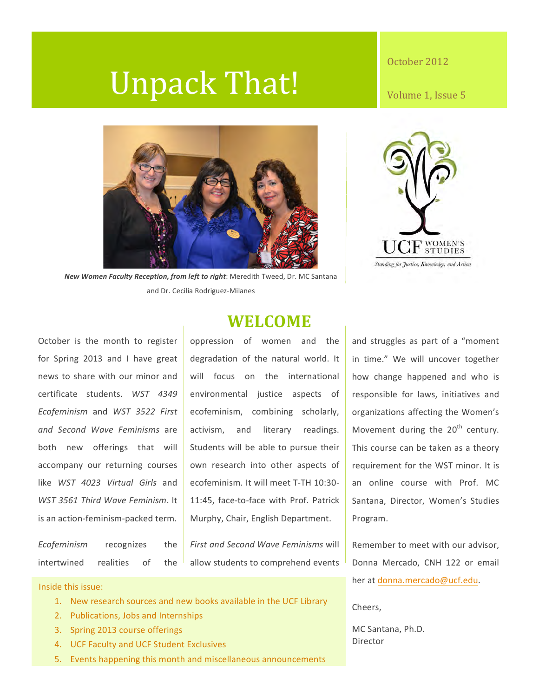# Unpack That!

#### October 2012

Volume 1, Issue 5



New Women Faculty Reception, from left to right: Meredith Tweed, Dr. MC Santana and Dr. Cecilia Rodriguez-Milanes



October is the month to register for Spring 2013 and I have great news to share with our minor and certificate students. *WST 4349 Ecofeminism* and *WST 3522 First and Second Wave Feminisms* are both new offerings that will accompany our returning courses like *WST 4023 Virtual Girls* and *WST 3561 Third Wave Feminism*. It is an action-feminism-packed term.

# **WELCOME**

oppression of women and the degradation of the natural world. It will focus on the international environmental justice aspects of ecofeminism, combining scholarly, activism, and literary readings. Students will be able to pursue their own research into other aspects of ecofeminism. It will meet T-TH 10:30-11:45, face-to-face with Prof. Patrick Murphy, Chair, English Department.

*Ecofeminism* recognizes the intertwined realities of the

*First and Second Wave Feminisms will* allow students to comprehend events

Inside this issue:

- 1. New research sources and new books available in the UCF Library
- 2. Publications, Jobs and Internships
- 3. Spring 2013 course offerings
- 4. UCF Faculty and UCF Student Exclusives
- 5. Events happening this month and miscellaneous announcements

and struggles as part of a "moment in time." We will uncover together how change happened and who is responsible for laws, initiatives and organizations affecting the Women's Movement during the  $20<sup>th</sup>$  century. This course can be taken as a theory requirement for the WST minor. It is an online course with Prof. MC Santana, Director, Women's Studies Program.

Remember to meet with our advisor, Donna Mercado, CNH 122 or email her at donna.mercado@ucf.edu.

Cheers,

MC Santana, Ph.D. Director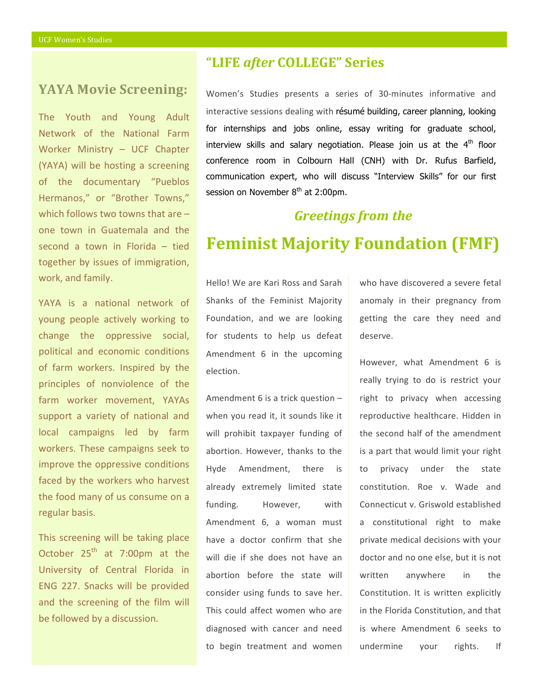### **YAYA Movie Screening:**

The Youth and Young Adult Network of the National Farm Worker Ministry  $-$  UCF Chapter (YAYA) will be hosting a screening of the documentary "Pueblos Hermanos," or "Brother Towns," which follows two towns that are  $$ one town in Guatemala and the second a town in Florida  $-$  tied together by issues of immigration, work, and family.

YAYA is a national network of young people actively working to change the oppressive social, political and economic conditions of farm workers. Inspired by the principles of nonviolence of the farm worker movement, YAYAs support a variety of national and local campaigns led by farm workers. These campaigns seek to improve the oppressive conditions faced by the workers who harvest the food many of us consume on a regular basis.

This screening will be taking place October  $25<sup>th</sup>$  at 7:00pm at the University of Central Florida in ENG 227. Snacks will be provided and the screening of the film will be followed by a discussion.

## **"LIFE** *after* **COLLEGE" Series**

Women's Studies presents a series of 30-minutes informative and interactive sessions dealing with résumé building, career planning, looking for internships and jobs online, essay writing for graduate school, interview skills and salary negotiation. Please join us at the  $4<sup>th</sup>$  floor conference room in Colbourn Hall (CNH) with Dr. Rufus Barfield, communication expert, who will discuss "Interview Skills" for our first session on November  $8<sup>th</sup>$  at 2:00pm.

# *Greetings from the*

# **Feminist Majority Foundation (FMF)**

Hello! We are Kari Ross and Sarah Shanks of the Feminist Majority Foundation, and we are looking for students to help us defeat Amendment 6 in the upcoming election. 

Amendment  $6$  is a trick question  $$ when you read it, it sounds like it will prohibit taxpayer funding of abortion. However, thanks to the Hyde Amendment, there is already extremely limited state funding. However, with Amendment 6, a woman must have a doctor confirm that she will die if she does not have an abortion before the state will consider using funds to save her. This could affect women who are diagnosed with cancer and need to begin treatment and women who have discovered a severe fetal anomaly in their pregnancy from getting the care they need and deserve.

However, what Amendment 6 is really trying to do is restrict your right to privacy when accessing reproductive healthcare. Hidden in the second half of the amendment is a part that would limit your right to privacy under the state constitution. Roe v. Wade and Connecticut v. Griswold established a constitutional right to make private medical decisions with your doctor and no one else, but it is not written anywhere in the Constitution. It is written explicitly in the Florida Constitution, and that is where Amendment 6 seeks to undermine your rights. If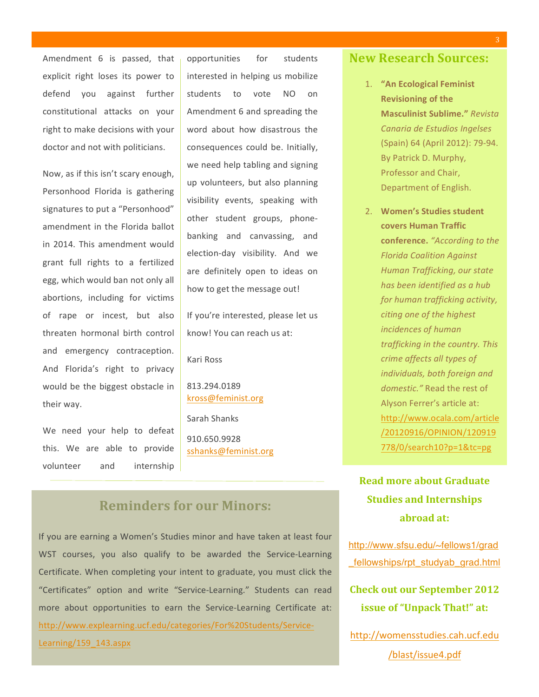Amendment 6 is passed, that explicit right loses its power to defend you against further constitutional attacks on your right to make decisions with your doctor and not with politicians.

Now, as if this isn't scary enough, Personhood Florida is gathering signatures to put a "Personhood" amendment in the Florida hallot in 2014. This amendment would grant full rights to a fertilized egg, which would ban not only all abortions, including for victims of rape or incest, but also threaten hormonal birth control and emergency contraception. And Florida's right to privacy would be the biggest obstacle in their way.

We need your help to defeat this. We are able to provide volunteer and internship  opportunities for students interested in helping us mobilize students to vote NO on Amendment 6 and spreading the word about how disastrous the consequences could be. Initially, we need help tabling and signing up volunteers, but also planning visibility events, speaking with other student groups, phonebanking and canvassing, and election-day visibility. And we are definitely open to ideas on how to get the message out!

If you're interested, please let us know! You can reach us at:

Kari Ross

813.294.0189 kross@feminist.org

Sarah Shanks 910.650.9928 sshanks@feminist.org

## **Reminders for our Minors:**

If you are earning a Women's Studies minor and have taken at least four WST courses, you also qualify to be awarded the Service-Learning Certificate. When completing your intent to graduate, you must click the "Certificates" option and write "Service-Learning." Students can read more about opportunities to earn the Service-Learning Certificate at: http://www.explearning.ucf.edu/categories/For%20Students/Service-Learning/159\_143.aspx

#### **New Research Sources:**

- 1. "An Ecological Feminist **Revisioning of the Masculinist Sublime."** *Revista Canaria de Estudios Ingelses*  (Spain) 64 (April 2012): 79-94. By Patrick D. Murphy, Professor and Chair, Department of English.
- 2. Women's Studies student **covers Human Traffic conference.** "According to the *Florida Coalition Against*  **Human Trafficking, our state** *has been identified as a hub*  for human trafficking activity, citing one of the highest *incidences of human*  trafficking in the country. This *crime affects all types of individuals, both foreign and* domestic." Read the rest of Alyson Ferrer's article at: http://www.ocala.com/article /20120916/OPINION/120919 778/0/search10?p=1&tc=pg

**Read more about Graduate Studies and Internships abroad at:**

http://www.sfsu.edu/~fellows1/grad fellowships/rpt\_studyab\_grad.html

**Check out our September 2012 issue of "Unpack That!" at:** 

http://womensstudies.cah.ucf.edu /blast/issue4.pdf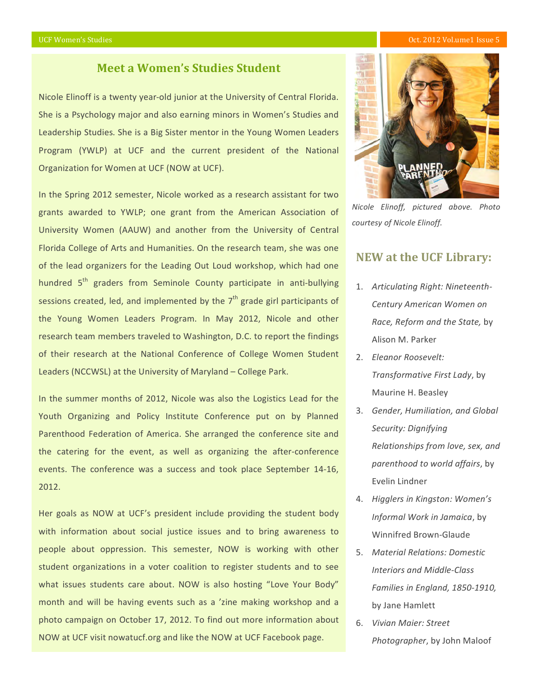#### UCF Women's Studies Communication of the Communication of the Communication of the Control of the Control of the Control of the Control of the Control of the Control of the Control of the Control of the Control of the Cont

#### **Meet a Women's Studies Student**

Nicole Elinoff is a twenty year-old junior at the University of Central Florida. She is a Psychology major and also earning minors in Women's Studies and Leadership Studies. She is a Big Sister mentor in the Young Women Leaders Program (YWLP) at UCF and the current president of the National Organization for Women at UCF (NOW at UCF).

In the Spring 2012 semester, Nicole worked as a research assistant for two grants awarded to YWLP; one grant from the American Association of University Women (AAUW) and another from the University of Central Florida College of Arts and Humanities. On the research team, she was one of the lead organizers for the Leading Out Loud workshop, which had one hundred 5<sup>th</sup> graders from Seminole County participate in anti-bullying sessions created, led, and implemented by the  $7<sup>th</sup>$  grade girl participants of the Young Women Leaders Program. In May 2012, Nicole and other research team members traveled to Washington, D.C. to report the findings of their research at the National Conference of College Women Student Leaders (NCCWSL) at the University of Maryland - College Park.

In the summer months of 2012, Nicole was also the Logistics Lead for the Youth Organizing and Policy Institute Conference put on by Planned Parenthood Federation of America. She arranged the conference site and the catering for the event, as well as organizing the after-conference events. The conference was a success and took place September 14-16, 2012.

Her goals as NOW at UCF's president include providing the student body with information about social justice issues and to bring awareness to people about oppression. This semester, NOW is working with other student organizations in a voter coalition to register students and to see what issues students care about. NOW is also hosting "Love Your Body" month and will be having events such as a 'zine making workshop and a photo campaign on October 17, 2012. To find out more information about NOW at UCF visit nowatucf.org and like the NOW at UCF Facebook page.



*Nicole Elinoff, pictured above. Photo courtesy of Nicole Elinoff.*

#### **NEW** at the UCF Library:

- 1. Articulating Right: Nineteenth-*Century American Women on Race, Reform and the State,* by Alison M. Parker
- 2. *Eleanor Roosevelt: Transformative First Lady*, by Maurine H. Beasley
- 3. *Gender, Humiliation, and Global Security: Dignifying Relationships from love, sex, and parenthood to world affairs*, by Evelin Lindner
- 4. *Higglers in Kingston: Women's Informal Work in Jamaica*, by Winnifred Brown-Glaude
- 5. Material Relations: Domestic **Interiors and Middle-Class Families in England, 1850-1910,** by Jane Hamlett
- 6. *Vivian Maier: Street*  Photographer, by John Maloof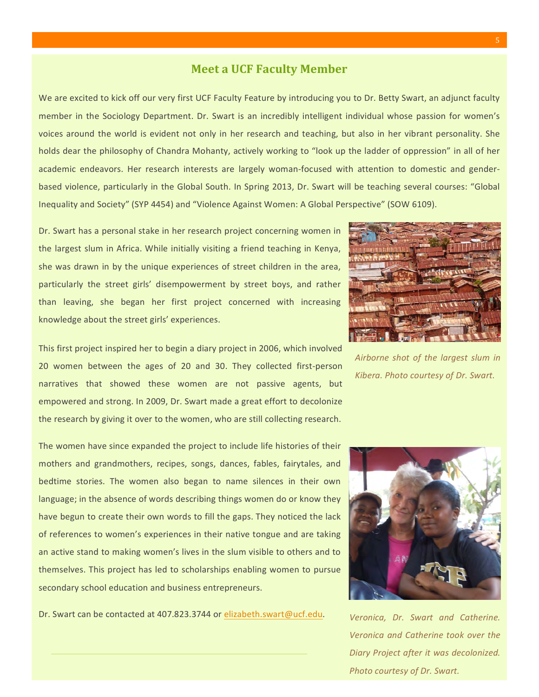#### **Meet a UCF Faculty Member**

We are excited to kick off our very first UCF Faculty Feature by introducing you to Dr. Betty Swart, an adjunct faculty member in the Sociology Department. Dr. Swart is an incredibly intelligent individual whose passion for women's voices around the world is evident not only in her research and teaching, but also in her vibrant personality. She holds dear the philosophy of Chandra Mohanty, actively working to "look up the ladder of oppression" in all of her academic endeavors. Her research interests are largely woman-focused with attention to domestic and genderbased violence, particularly in the Global South. In Spring 2013, Dr. Swart will be teaching several courses: "Global Inequality and Society" (SYP 4454) and "Violence Against Women: A Global Perspective" (SOW 6109).

Dr. Swart has a personal stake in her research project concerning women in the largest slum in Africa. While initially visiting a friend teaching in Kenya, she was drawn in by the unique experiences of street children in the area, particularly the street girls' disempowerment by street boys, and rather than leaving, she began her first project concerned with increasing knowledge about the street girls' experiences.

This first project inspired her to begin a diary project in 2006, which involved 20 women between the ages of 20 and 30. They collected first-person narratives that showed these women are not passive agents, but empowered and strong. In 2009, Dr. Swart made a great effort to decolonize the research by giving it over to the women, who are still collecting research.

The women have since expanded the project to include life histories of their mothers and grandmothers, recipes, songs, dances, fables, fairytales, and bedtime stories. The women also began to name silences in their own language; in the absence of words describing things women do or know they have begun to create their own words to fill the gaps. They noticed the lack of references to women's experiences in their native tongue and are taking an active stand to making women's lives in the slum visible to others and to themselves. This project has led to scholarships enabling women to pursue secondary school education and business entrepreneurs.

Dr. Swart can be contacted at 407.823.3744 or elizabeth.swart@ucf.edu. *Veronica, Dr. Swart and Catherine.* 



Airborne shot of the largest slum in *Kibera. Photo courtesy of Dr. Swart.*



*Veronica and Catherine took over the Diary Project after it was decolonized. Photo courtesy of Dr. Swart.*